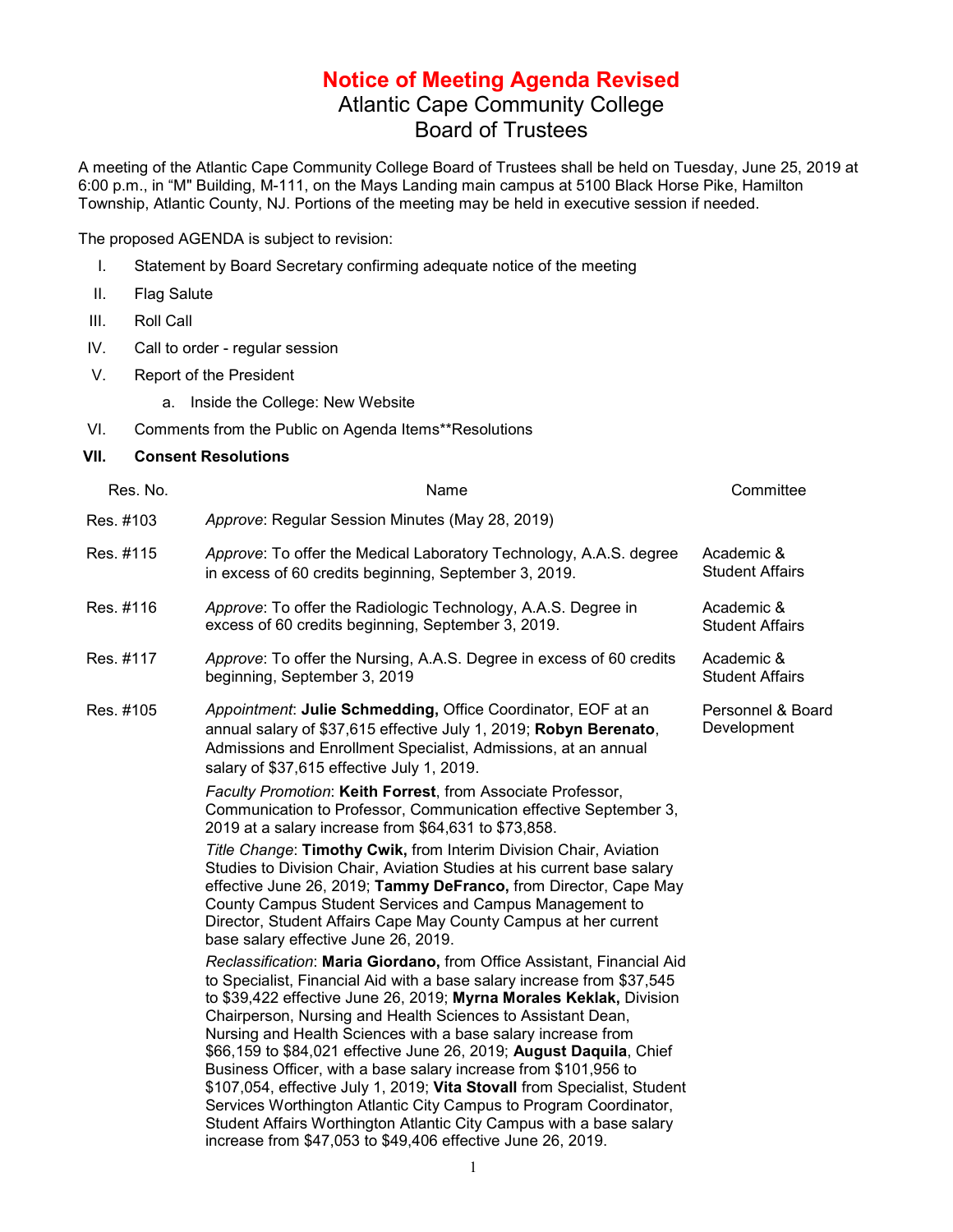## **Notice of Meeting Agenda Revised** Atlantic Cape Community College Board of Trustees

A meeting of the Atlantic Cape Community College Board of Trustees shall be held on Tuesday, June 25, 2019 at 6:00 p.m., in "M" Building, M-111, on the Mays Landing main campus at 5100 Black Horse Pike, Hamilton Township, Atlantic County, NJ. Portions of the meeting may be held in executive session if needed.

The proposed AGENDA is subject to revision:

- I. Statement by Board Secretary confirming adequate notice of the meeting
- II. Flag Salute
- III. Roll Call
- IV. Call to order regular session
- V. Report of the President
	- a. Inside the College: New Website
- VI. Comments from the Public on Agenda Items\*\*Resolutions
- **VII. Consent Resolutions**

| Res. No.  | Name                                                                                                                                                                                                                                                                                                                                                                                                                                                                                                                                                                                                                                                                                                                                                                                    | Committee                            |
|-----------|-----------------------------------------------------------------------------------------------------------------------------------------------------------------------------------------------------------------------------------------------------------------------------------------------------------------------------------------------------------------------------------------------------------------------------------------------------------------------------------------------------------------------------------------------------------------------------------------------------------------------------------------------------------------------------------------------------------------------------------------------------------------------------------------|--------------------------------------|
| Res. #103 | Approve: Regular Session Minutes (May 28, 2019)                                                                                                                                                                                                                                                                                                                                                                                                                                                                                                                                                                                                                                                                                                                                         |                                      |
| Res. #115 | Approve: To offer the Medical Laboratory Technology, A.A.S. degree<br>in excess of 60 credits beginning, September 3, 2019.                                                                                                                                                                                                                                                                                                                                                                                                                                                                                                                                                                                                                                                             | Academic &<br><b>Student Affairs</b> |
| Res. #116 | Approve: To offer the Radiologic Technology, A.A.S. Degree in<br>excess of 60 credits beginning, September 3, 2019.                                                                                                                                                                                                                                                                                                                                                                                                                                                                                                                                                                                                                                                                     | Academic &<br><b>Student Affairs</b> |
| Res. #117 | Approve: To offer the Nursing, A.A.S. Degree in excess of 60 credits<br>beginning, September 3, 2019                                                                                                                                                                                                                                                                                                                                                                                                                                                                                                                                                                                                                                                                                    | Academic &<br><b>Student Affairs</b> |
| Res. #105 | Appointment: Julie Schmedding, Office Coordinator, EOF at an<br>annual salary of \$37,615 effective July 1, 2019; Robyn Berenato,<br>Admissions and Enrollment Specialist, Admissions, at an annual<br>salary of \$37,615 effective July 1, 2019.                                                                                                                                                                                                                                                                                                                                                                                                                                                                                                                                       | Personnel & Board<br>Development     |
|           | Faculty Promotion: Keith Forrest, from Associate Professor,<br>Communication to Professor, Communication effective September 3,<br>2019 at a salary increase from \$64,631 to \$73,858.                                                                                                                                                                                                                                                                                                                                                                                                                                                                                                                                                                                                 |                                      |
|           | Title Change: Timothy Cwik, from Interim Division Chair, Aviation<br>Studies to Division Chair, Aviation Studies at his current base salary<br>effective June 26, 2019; Tammy DeFranco, from Director, Cape May<br>County Campus Student Services and Campus Management to<br>Director, Student Affairs Cape May County Campus at her current<br>base salary effective June 26, 2019.                                                                                                                                                                                                                                                                                                                                                                                                   |                                      |
|           | Reclassification: Maria Giordano, from Office Assistant, Financial Aid<br>to Specialist, Financial Aid with a base salary increase from \$37,545<br>to \$39,422 effective June 26, 2019; Myrna Morales Keklak, Division<br>Chairperson, Nursing and Health Sciences to Assistant Dean,<br>Nursing and Health Sciences with a base salary increase from<br>\$66,159 to \$84,021 effective June 26, 2019; August Daquila, Chief<br>Business Officer, with a base salary increase from \$101,956 to<br>\$107,054, effective July 1, 2019; Vita Stovall from Specialist, Student<br>Services Worthington Atlantic City Campus to Program Coordinator,<br>Student Affairs Worthington Atlantic City Campus with a base salary<br>increase from \$47,053 to \$49,406 effective June 26, 2019. |                                      |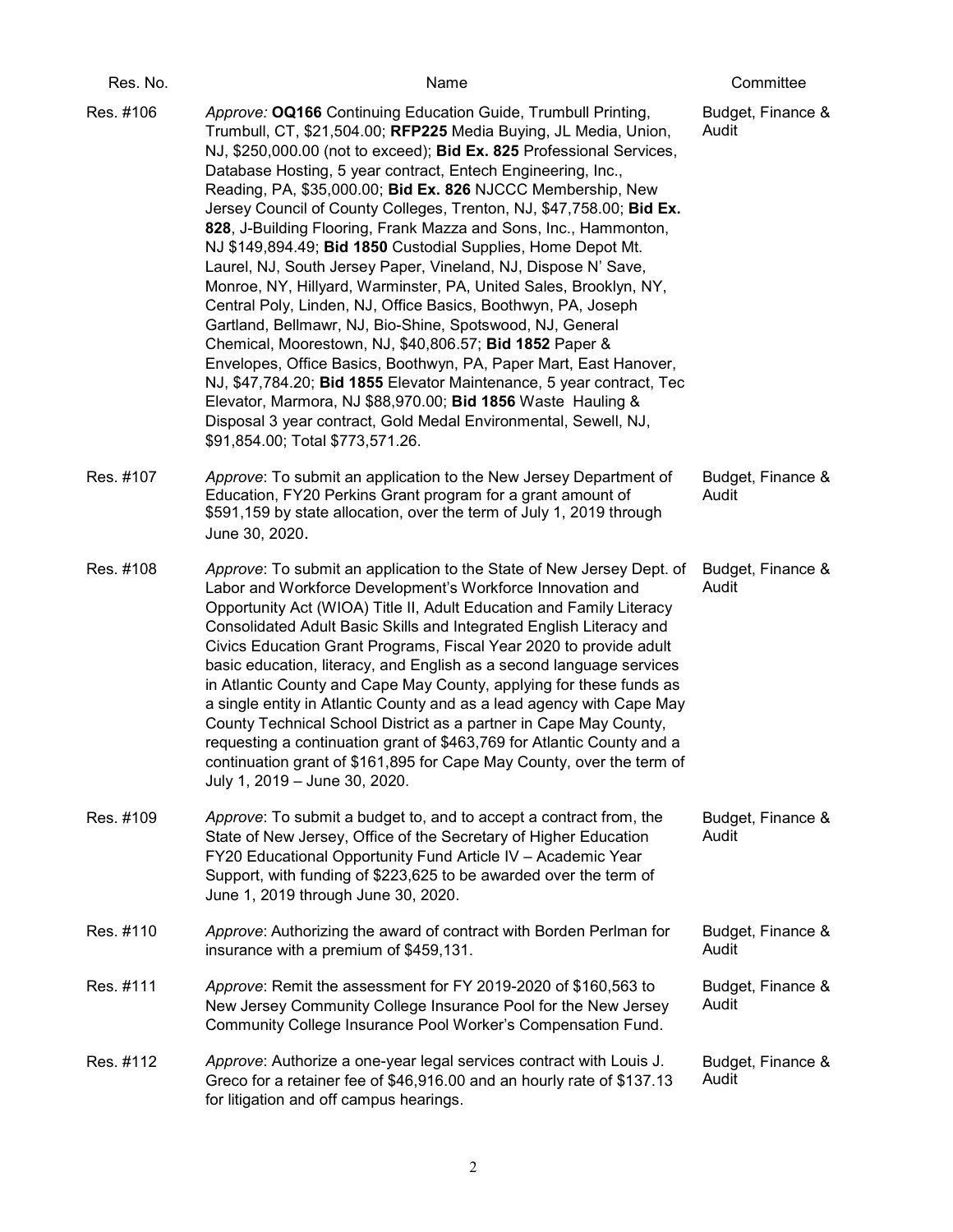| Res. No.  | Name                                                                                                                                                                                                                                                                                                                                                                                                                                                                                                                                                                                                                                                                                                                                                                                                                                                                                                                                                                                                                                                                                                                                                                                                    | Committee                  |
|-----------|---------------------------------------------------------------------------------------------------------------------------------------------------------------------------------------------------------------------------------------------------------------------------------------------------------------------------------------------------------------------------------------------------------------------------------------------------------------------------------------------------------------------------------------------------------------------------------------------------------------------------------------------------------------------------------------------------------------------------------------------------------------------------------------------------------------------------------------------------------------------------------------------------------------------------------------------------------------------------------------------------------------------------------------------------------------------------------------------------------------------------------------------------------------------------------------------------------|----------------------------|
| Res. #106 | Approve: OQ166 Continuing Education Guide, Trumbull Printing,<br>Trumbull, CT, \$21,504.00; RFP225 Media Buying, JL Media, Union,<br>NJ, \$250,000.00 (not to exceed); Bid Ex. 825 Professional Services,<br>Database Hosting, 5 year contract, Entech Engineering, Inc.,<br>Reading, PA, \$35,000.00; Bid Ex. 826 NJCCC Membership, New<br>Jersey Council of County Colleges, Trenton, NJ, \$47,758.00; Bid Ex.<br>828, J-Building Flooring, Frank Mazza and Sons, Inc., Hammonton,<br>NJ \$149,894.49; Bid 1850 Custodial Supplies, Home Depot Mt.<br>Laurel, NJ, South Jersey Paper, Vineland, NJ, Dispose N' Save,<br>Monroe, NY, Hillyard, Warminster, PA, United Sales, Brooklyn, NY,<br>Central Poly, Linden, NJ, Office Basics, Boothwyn, PA, Joseph<br>Gartland, Bellmawr, NJ, Bio-Shine, Spotswood, NJ, General<br>Chemical, Moorestown, NJ, \$40,806.57; Bid 1852 Paper &<br>Envelopes, Office Basics, Boothwyn, PA, Paper Mart, East Hanover,<br>NJ, \$47,784.20; Bid 1855 Elevator Maintenance, 5 year contract, Tec<br>Elevator, Marmora, NJ \$88,970.00; Bid 1856 Waste Hauling &<br>Disposal 3 year contract, Gold Medal Environmental, Sewell, NJ,<br>\$91,854.00; Total \$773,571.26. | Budget, Finance &<br>Audit |
| Res. #107 | Approve: To submit an application to the New Jersey Department of<br>Education, FY20 Perkins Grant program for a grant amount of<br>\$591,159 by state allocation, over the term of July 1, 2019 through<br>June 30, 2020.                                                                                                                                                                                                                                                                                                                                                                                                                                                                                                                                                                                                                                                                                                                                                                                                                                                                                                                                                                              | Budget, Finance &<br>Audit |
| Res. #108 | Approve: To submit an application to the State of New Jersey Dept. of<br>Labor and Workforce Development's Workforce Innovation and<br>Opportunity Act (WIOA) Title II, Adult Education and Family Literacy<br>Consolidated Adult Basic Skills and Integrated English Literacy and<br>Civics Education Grant Programs, Fiscal Year 2020 to provide adult<br>basic education, literacy, and English as a second language services<br>in Atlantic County and Cape May County, applying for these funds as<br>a single entity in Atlantic County and as a lead agency with Cape May<br>County Technical School District as a partner in Cape May County,<br>requesting a continuation grant of \$463,769 for Atlantic County and a<br>continuation grant of \$161,895 for Cape May County, over the term of<br>July 1, 2019 - June 30, 2020.                                                                                                                                                                                                                                                                                                                                                               | Budget, Finance &<br>Audit |
| Res. #109 | Approve: To submit a budget to, and to accept a contract from, the<br>State of New Jersey, Office of the Secretary of Higher Education<br>FY20 Educational Opportunity Fund Article IV - Academic Year<br>Support, with funding of \$223,625 to be awarded over the term of<br>June 1, 2019 through June 30, 2020.                                                                                                                                                                                                                                                                                                                                                                                                                                                                                                                                                                                                                                                                                                                                                                                                                                                                                      | Budget, Finance &<br>Audit |
| Res. #110 | Approve: Authorizing the award of contract with Borden Perlman for<br>insurance with a premium of \$459,131.                                                                                                                                                                                                                                                                                                                                                                                                                                                                                                                                                                                                                                                                                                                                                                                                                                                                                                                                                                                                                                                                                            | Budget, Finance &<br>Audit |
| Res. #111 | Approve: Remit the assessment for FY 2019-2020 of \$160,563 to<br>New Jersey Community College Insurance Pool for the New Jersey<br>Community College Insurance Pool Worker's Compensation Fund.                                                                                                                                                                                                                                                                                                                                                                                                                                                                                                                                                                                                                                                                                                                                                                                                                                                                                                                                                                                                        | Budget, Finance &<br>Audit |
| Res. #112 | Approve: Authorize a one-year legal services contract with Louis J.<br>Greco for a retainer fee of \$46,916.00 and an hourly rate of \$137.13<br>for litigation and off campus hearings.                                                                                                                                                                                                                                                                                                                                                                                                                                                                                                                                                                                                                                                                                                                                                                                                                                                                                                                                                                                                                | Budget, Finance &<br>Audit |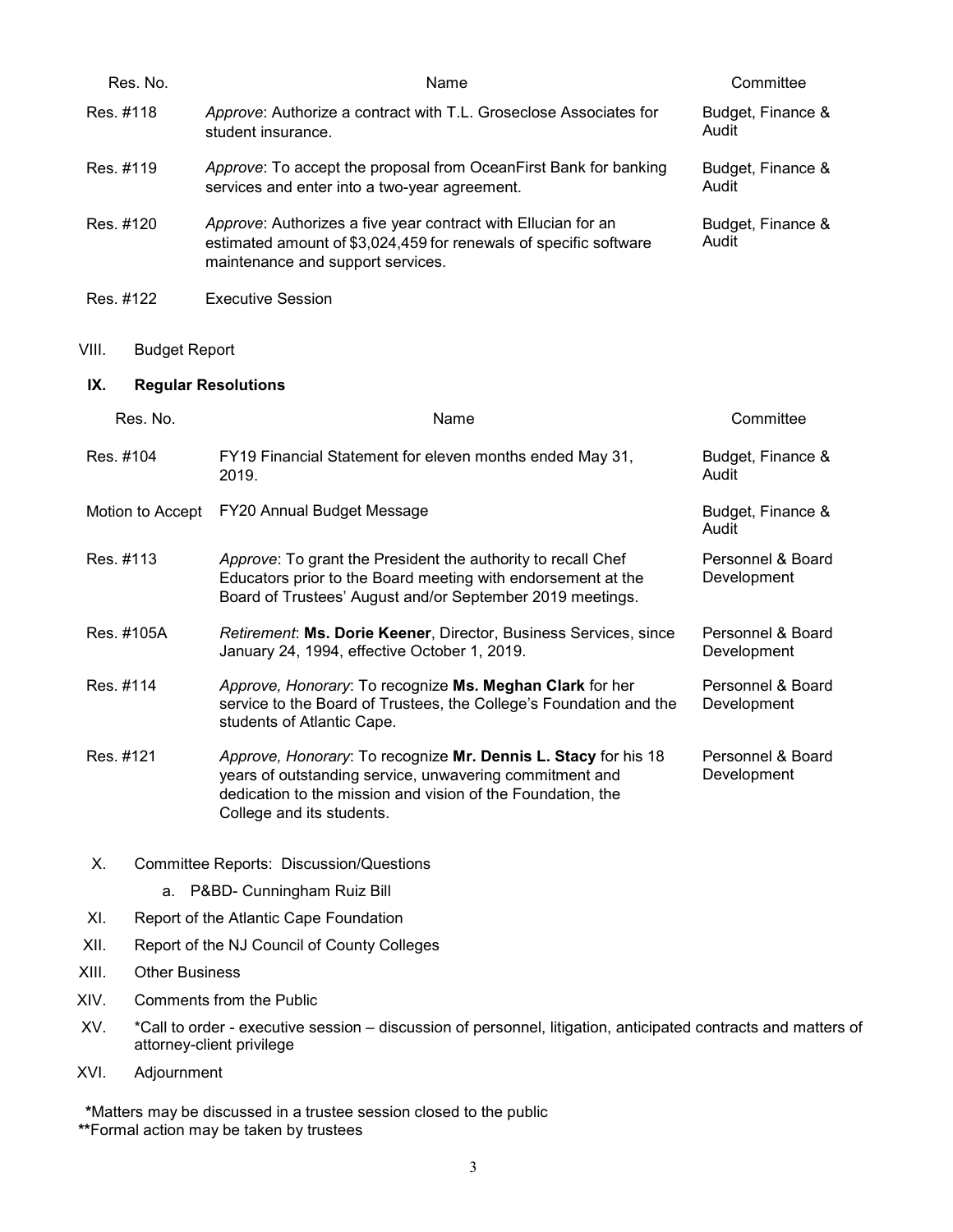| Res. No.                       | Name                                                                                                                                                                                                                  | Committee                        |  |
|--------------------------------|-----------------------------------------------------------------------------------------------------------------------------------------------------------------------------------------------------------------------|----------------------------------|--|
| Res. #118                      | Approve: Authorize a contract with T.L. Groseclose Associates for<br>student insurance.                                                                                                                               | Budget, Finance &<br>Audit       |  |
| Res. #119                      | Approve: To accept the proposal from OceanFirst Bank for banking<br>services and enter into a two-year agreement.                                                                                                     | Budget, Finance &<br>Audit       |  |
| Res. #120                      | Approve: Authorizes a five year contract with Ellucian for an<br>estimated amount of \$3,024,459 for renewals of specific software<br>maintenance and support services.                                               | Budget, Finance &<br>Audit       |  |
| Res. #122                      | <b>Executive Session</b>                                                                                                                                                                                              |                                  |  |
| VIII.<br><b>Budget Report</b>  |                                                                                                                                                                                                                       |                                  |  |
| IX.                            | <b>Regular Resolutions</b>                                                                                                                                                                                            |                                  |  |
| Res. No.                       | Name                                                                                                                                                                                                                  | Committee                        |  |
| Res. #104                      | FY19 Financial Statement for eleven months ended May 31,<br>2019.                                                                                                                                                     | Budget, Finance &<br>Audit       |  |
| Motion to Accept               | FY20 Annual Budget Message                                                                                                                                                                                            | Budget, Finance &<br>Audit       |  |
| Res. #113                      | Approve: To grant the President the authority to recall Chef<br>Educators prior to the Board meeting with endorsement at the<br>Board of Trustees' August and/or September 2019 meetings.                             | Personnel & Board<br>Development |  |
| Res. #105A                     | Retirement: Ms. Dorie Keener, Director, Business Services, since<br>January 24, 1994, effective October 1, 2019.                                                                                                      | Personnel & Board<br>Development |  |
| Res. #114                      | Approve, Honorary: To recognize Ms. Meghan Clark for her<br>service to the Board of Trustees, the College's Foundation and the<br>students of Atlantic Cape.                                                          | Personnel & Board<br>Development |  |
| Res. #121                      | Approve, Honorary: To recognize Mr. Dennis L. Stacy for his 18<br>years of outstanding service, unwavering commitment and<br>dedication to the mission and vision of the Foundation, the<br>College and its students. | Personnel & Board<br>Development |  |
| Х.                             | <b>Committee Reports: Discussion/Questions</b>                                                                                                                                                                        |                                  |  |
| а.                             | P&BD- Cunningham Ruiz Bill                                                                                                                                                                                            |                                  |  |
| XI.                            | Report of the Atlantic Cape Foundation                                                                                                                                                                                |                                  |  |
| XII.                           | Report of the NJ Council of County Colleges                                                                                                                                                                           |                                  |  |
| <b>Other Business</b><br>XIII. |                                                                                                                                                                                                                       |                                  |  |

- XIV. Comments from the Public
- XV. \*Call to order executive session discussion of personnel, litigation, anticipated contracts and matters of attorney-client privilege
- XVI. Adjournment

**\***Matters may be discussed in a trustee session closed to the public **\*\***Formal action may be taken by trustees